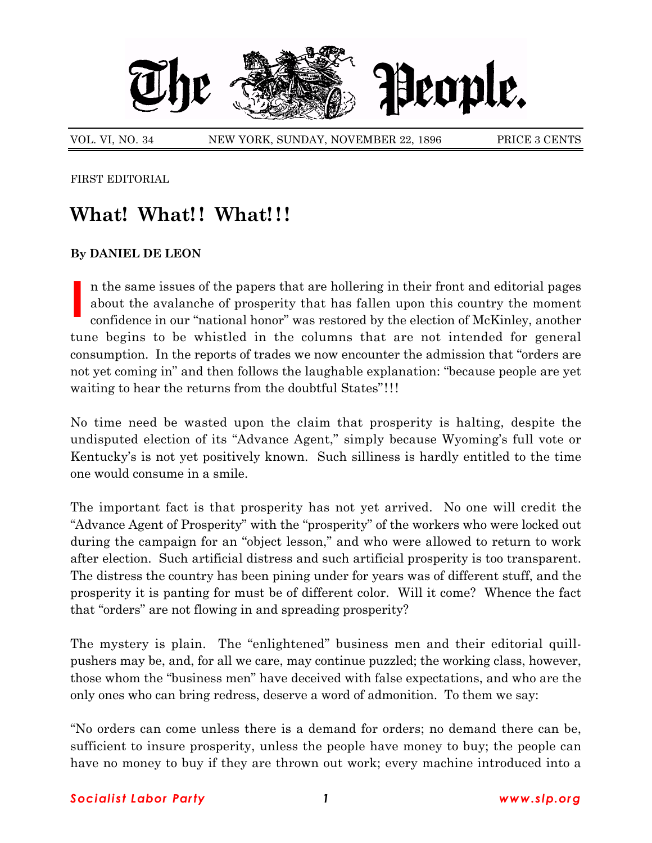

VOL. VI, NO. 34 NEW YORK, SUNDAY, NOVEMBER 22, 1896 PRICE 3 CENTS

FIRST EDITORIAL

## What! What!! What!!!

## **By DANIEL DE LEON**

**I** n the same issues of the papers that are hollering in their front and editorial pages about the avalanche of prosperity that has fallen upon this country the moment confidence in our "national honor" was restored by the election of McKinley, another tune begins to be whistled in the columns that are not intended for general consumption. In the reports of trades we now encounter the admission that "orders are not yet coming in" and then follows the laughable explanation: "because people are yet waiting to hear the returns from the doubtful States"!!!

No time need be wasted upon the claim that prosperity is halting, despite the undisputed election of its "Advance Agent," simply because Wyoming's full vote or Kentuckyís is not yet positively known. Such silliness is hardly entitled to the time one would consume in a smile.

The important fact is that prosperity has not yet arrived. No one will credit the "Advance Agent of Prosperity" with the "prosperity" of the workers who were locked out during the campaign for an "object lesson," and who were allowed to return to work after election. Such artificial distress and such artificial prosperity is too transparent. The distress the country has been pining under for years was of different stuff, and the prosperity it is panting for must be of different color. Will it come? Whence the fact that "orders" are not flowing in and spreading prosperity?

The mystery is plain. The "enlightened" business men and their editorial quillpushers may be, and, for all we care, may continue puzzled; the working class, however, those whom the "business men" have deceived with false expectations, and who are the only ones who can bring redress, deserve a word of admonition. To them we say:

ìNo orders can come unless there is a demand for orders; no demand there can be, sufficient to insure prosperity, unless the people have money to buy; the people can have no money to buy if they are thrown out work; every machine introduced into a

## *Socialist Labor Party 1 www.slp.org*